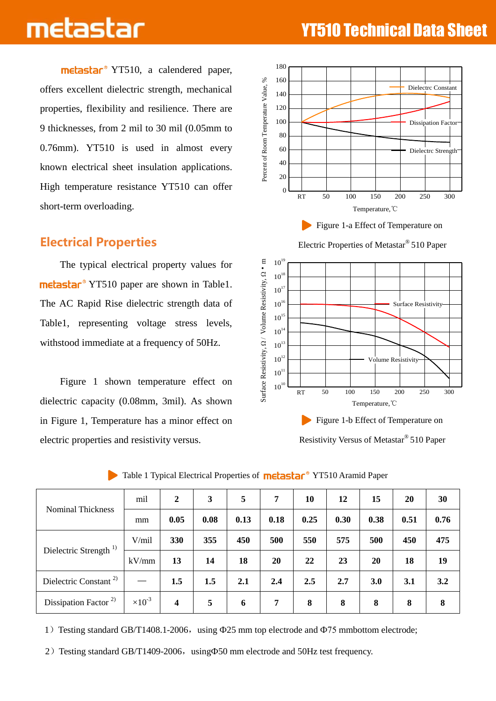metastar<sup>®</sup> YT510, a calendered paper, offers excellent dielectric strength, mechanical properties, flexibility and resilience. There are 9 thicknesses, from 2 mil to 30 mil (0.05mm to 0.76mm). YT510 is used in almost every known electrical sheet insulation applications. High temperature resistance YT510 can offer short-term overloading.

### Electrical Properties

 The typical electrical property values for metastar<sup>®</sup> YT510 paper are shown in Table1. The AC Rapid Rise dielectric strength data of Table1, representing voltage stress levels, withstood immediate at a frequency of 50Hz.

Figure 1 shown temperature effect on dielectric capacity (0.08mm, 3mil). As shown in Figure 1, Temperature has a minor effect on electric properties and resistivity versus.



Electric Properties of Metastar® 510 Paper



Resistivity Versus of Metastar® 510 Paper

|                                   | mil              | $\boldsymbol{2}$ | 3              | 5    | 7    | 10   | 12   | 15   | 20   | 30   |
|-----------------------------------|------------------|------------------|----------------|------|------|------|------|------|------|------|
| <b>Nominal Thickness</b>          | mm               | 0.05             | 0.08           | 0.13 | 0.18 | 0.25 | 0.30 | 0.38 | 0.51 | 0.76 |
| Dielectric Strength <sup>1)</sup> | V/mil            | 330              | 355            | 450  | 500  | 550  | 575  | 500  | 450  | 475  |
|                                   | kV/mm            | 13               | 14             | 18   | 20   | 22   | 23   | 20   | 18   | 19   |
| Dielectric Constant <sup>2)</sup> |                  | 1.5              | 1.5            | 2.1  | 2.4  | 2.5  | 2.7  | 3.0  | 3.1  | 3.2  |
| Dissipation Factor <sup>2)</sup>  | $\times 10^{-3}$ | $\boldsymbol{4}$ | $\overline{5}$ | 6    | 7    | 8    | 8    | 8    | 8    | 8    |

### Table 1 Typical Electrical Properties of **metastar**<sup>®</sup> YT510 Aramid Paper

1) Testing standard GB/T1408.1-2006, using  $\Phi$ 25 mm top electrode and  $\Phi$ 75 mmbottom electrode;

2) Testing standard GB/T1409-2006, using $\Phi$ 50 mm electrode and 50Hz test frequency.

# **THE LASES AND ARTICLE THE REAL EXTENSION TEChnical Data Sheet**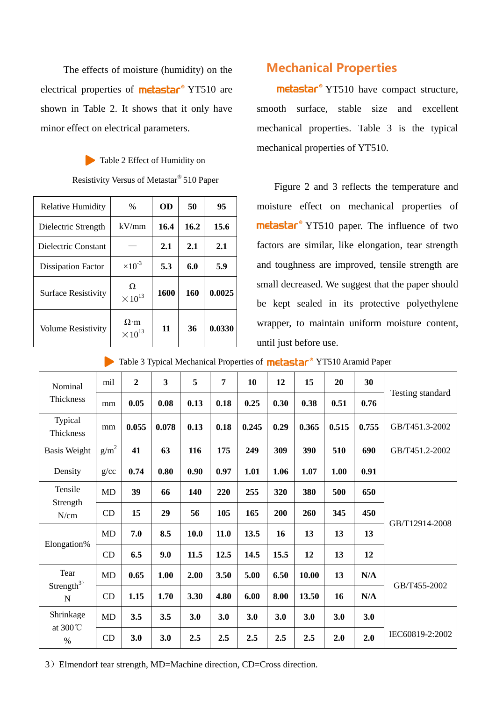The effects of moisture (humidity) on the electrical properties of  $\text{melas}$ <sub> $\text{tan}$ </sub> $\text{NT510}$  are shown in Table 2. It shows that it only have minor effect on electrical parameters.

> Table 2 Effect of Humidity on Resistivity Versus of Metastar® 510 Paper

| <b>Relative Humidity</b>   | $\%$                            | <b>OD</b> | 50   | 95     |
|----------------------------|---------------------------------|-----------|------|--------|
| Dielectric Strength        | kV/mm                           | 16.4      | 16.2 | 15.6   |
| Dielectric Constant        |                                 | 2.1       | 2.1  | 2.1    |
| <b>Dissipation Factor</b>  | $\times 10^{-3}$                | 5.3       | 6.0  | 5.9    |
| <b>Surface Resistivity</b> | Ω<br>$\times 10^{13}$           | 1600      | 160  | 0.0025 |
| <b>Volume Resistivity</b>  | $\Omega$ ·m<br>$\times 10^{13}$ | 11        | 36   | 0.0330 |

## Mechanical Properties

metastar<sup>®</sup> YT510 have compact structure, smooth surface, stable size and excellent mechanical properties. Table 3 is the typical mechanical properties of YT510.

Figure 2 and 3 reflects the temperature and moisture effect on mechanical properties of metastar<sup>®</sup> YT510 paper. The influence of two factors are similar, like elongation, tear strength and toughness are improved, tensile strength are small decreased. We suggest that the paper should be kept sealed in its protective polyethylene wrapper, to maintain uniform moisture content, until just before use.

 $\triangleright$  Table 3 Typical Mechanical Properties of **metastar**<sup>®</sup> YT510 Aramid Paper

| Nominal<br>Thickness          | mil              | $\overline{2}$ | $\overline{\mathbf{3}}$ | 5    | 7    | 10    | 12   | 15    | 20    | 30    | Testing standard |  |
|-------------------------------|------------------|----------------|-------------------------|------|------|-------|------|-------|-------|-------|------------------|--|
|                               | mm               | 0.05           | 0.08                    | 0.13 | 0.18 | 0.25  | 0.30 | 0.38  | 0.51  | 0.76  |                  |  |
| Typical<br>Thickness          | mm               | 0.055          | 0.078                   | 0.13 | 0.18 | 0.245 | 0.29 | 0.365 | 0.515 | 0.755 | GB/T451.3-2002   |  |
| <b>Basis Weight</b>           | g/m <sup>2</sup> | 41             | 63                      | 116  | 175  | 249   | 309  | 390   | 510   | 690   | GB/T451.2-2002   |  |
| Density                       | g/cc             | 0.74           | 0.80                    | 0.90 | 0.97 | 1.01  | 1.06 | 1.07  | 1.00  | 0.91  |                  |  |
| Tensile<br>Strength<br>N/cm   | <b>MD</b>        | 39             | 66                      | 140  | 220  | 255   | 320  | 380   | 500   | 650   |                  |  |
|                               | CD               | 15             | 29                      | 56   | 105  | 165   | 200  | 260   | 345   | 450   | GB/T12914-2008   |  |
| Elongation%                   | MD               | 7.0            | 8.5                     | 10.0 | 11.0 | 13.5  | 16   | 13    | 13    | 13    |                  |  |
|                               | CD               | 6.5            | 9.0                     | 11.5 | 12.5 | 14.5  | 15.5 | 12    | 13    | 12    |                  |  |
| Tear<br>Strength $3)$<br>N    | MD               | 0.65           | 1.00                    | 2.00 | 3.50 | 5.00  | 6.50 | 10.00 | 13    | N/A   | GB/T455-2002     |  |
|                               | CD               | 1.15           | 1.70                    | 3.30 | 4.80 | 6.00  | 8.00 | 13.50 | 16    | N/A   |                  |  |
| Shrinkage<br>at 300°C<br>$\%$ | <b>MD</b>        | 3.5            | 3.5                     | 3.0  | 3.0  | 3.0   | 3.0  | 3.0   | 3.0   | 3.0   |                  |  |
|                               | CD               | 3.0            | 3.0                     | 2.5  | 2.5  | 2.5   | 2.5  | 2.5   | 2.0   | 2.0   | IEC60819-2:2002  |  |

3)Elmendorf tear strength, MD=Machine direction, CD=Cross direction.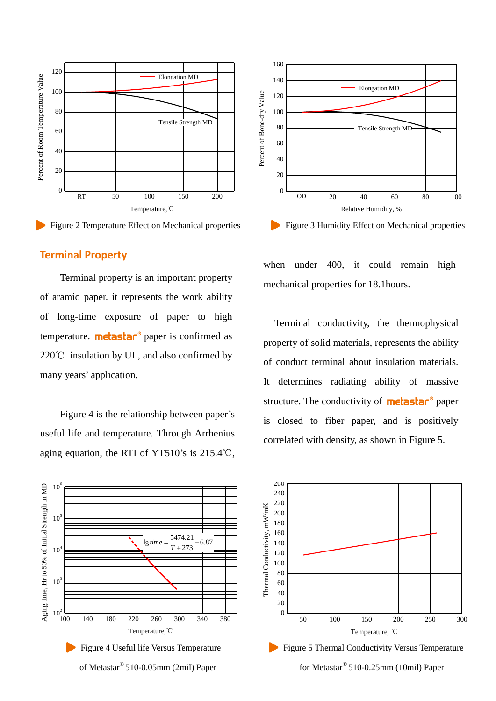



### **Terminal Property**

 Terminal property is an important property of aramid paper. it represents the work ability of long-time exposure of paper to high temperature.  $\text{melas}$   $\text{har}^{\circ}$  paper is confirmed as 220℃ insulation by UL, and also confirmed by many years' application.

 Figure 4 is the relationship between paper's useful life and temperature. Through Arrhenius aging equation, the RTI of YT510's is 215.4℃,





when under 400, it could remain high mechanical properties for 18.1hours.

 Terminal conductivity, the thermophysical property of solid materials, represents the ability of conduct terminal about insulation materials. It determines radiating ability of massive structure. The conductivity of **metastar**<sup>®</sup> paper is closed to fiber paper, and is positively correlated with density, as shown in Figure 5.